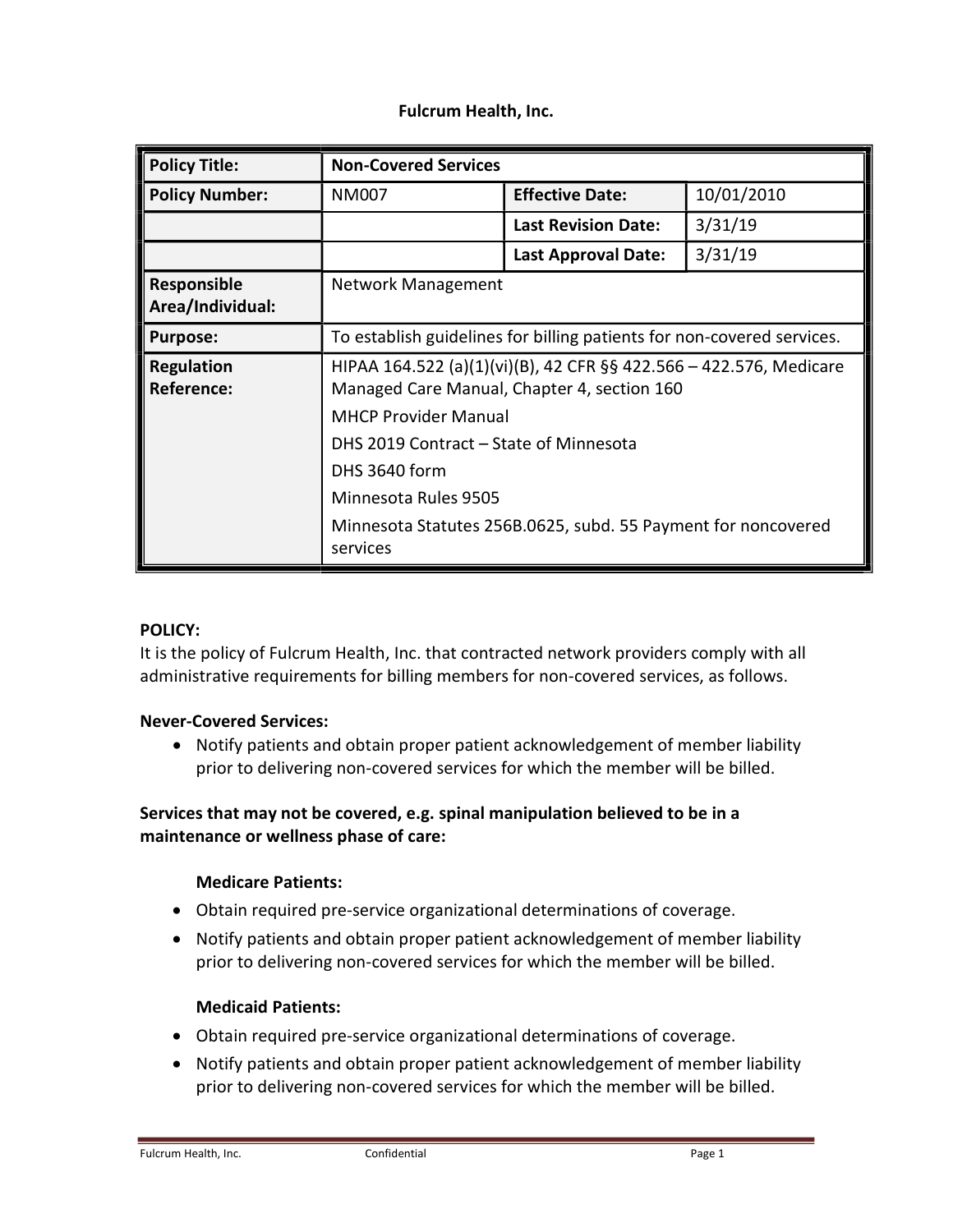### Fulcrum Health, Inc.

| <b>Policy Title:</b>            | <b>Non-Covered Services</b>                                                                                                                                                                                                                                                                                      |                            |            |
|---------------------------------|------------------------------------------------------------------------------------------------------------------------------------------------------------------------------------------------------------------------------------------------------------------------------------------------------------------|----------------------------|------------|
| <b>Policy Number:</b>           | NM007                                                                                                                                                                                                                                                                                                            | <b>Effective Date:</b>     | 10/01/2010 |
|                                 |                                                                                                                                                                                                                                                                                                                  | <b>Last Revision Date:</b> | 3/31/19    |
|                                 |                                                                                                                                                                                                                                                                                                                  | Last Approval Date:        | 3/31/19    |
| Responsible<br>Area/Individual: | Network Management                                                                                                                                                                                                                                                                                               |                            |            |
| <b>Purpose:</b>                 | To establish guidelines for billing patients for non-covered services.                                                                                                                                                                                                                                           |                            |            |
| <b>Regulation</b><br>Reference: | HIPAA 164.522 (a)(1)(vi)(B), 42 CFR §§ 422.566 – 422.576, Medicare<br>Managed Care Manual, Chapter 4, section 160<br><b>MHCP Provider Manual</b><br>DHS 2019 Contract – State of Minnesota<br>DHS 3640 form<br>Minnesota Rules 9505<br>Minnesota Statutes 256B.0625, subd. 55 Payment for noncovered<br>services |                            |            |

### POLICY:

It is the policy of Fulcrum Health, Inc. that contracted network providers comply with all administrative requirements for billing members for non-covered services, as follows.

### Never-Covered Services:

 Notify patients and obtain proper patient acknowledgement of member liability prior to delivering non-covered services for which the member will be billed.

## Services that may not be covered, e.g. spinal manipulation believed to be in a maintenance or wellness phase of care:

### Medicare Patients:

- Obtain required pre-service organizational determinations of coverage.
- Notify patients and obtain proper patient acknowledgement of member liability prior to delivering non-covered services for which the member will be billed.

### Medicaid Patients:

- Obtain required pre-service organizational determinations of coverage.
- Notify patients and obtain proper patient acknowledgement of member liability prior to delivering non-covered services for which the member will be billed.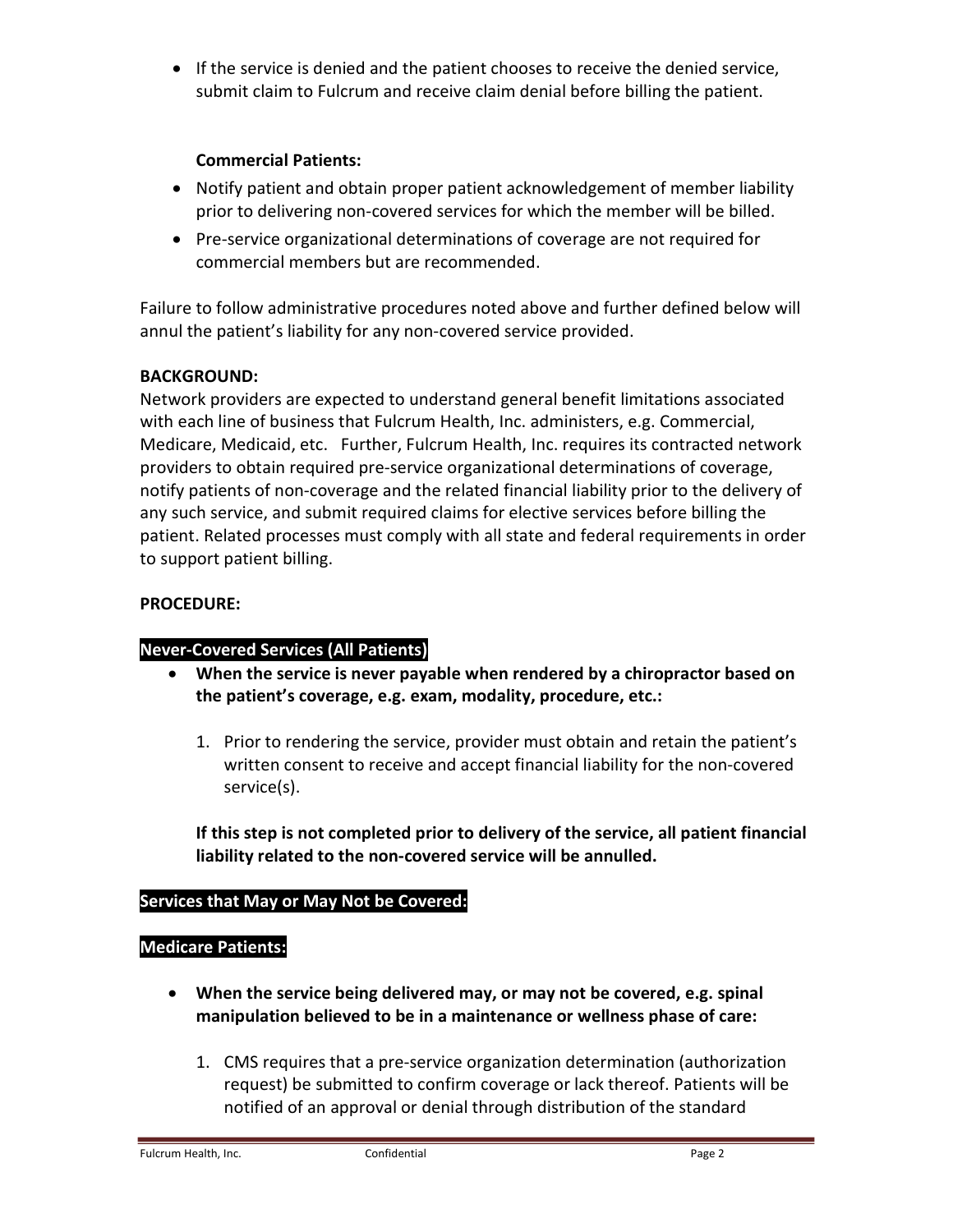If the service is denied and the patient chooses to receive the denied service, submit claim to Fulcrum and receive claim denial before billing the patient.

### Commercial Patients:

- Notify patient and obtain proper patient acknowledgement of member liability prior to delivering non-covered services for which the member will be billed.
- Pre-service organizational determinations of coverage are not required for commercial members but are recommended.

Failure to follow administrative procedures noted above and further defined below will annul the patient's liability for any non-covered service provided.

# BACKGROUND:

Network providers are expected to understand general benefit limitations associated with each line of business that Fulcrum Health, Inc. administers, e.g. Commercial, Medicare, Medicaid, etc. Further, Fulcrum Health, Inc. requires its contracted network providers to obtain required pre-service organizational determinations of coverage, notify patients of non-coverage and the related financial liability prior to the delivery of any such service, and submit required claims for elective services before billing the patient. Related processes must comply with all state and federal requirements in order to support patient billing.

# PROCEDURE:

# Never-Covered Services (All Patients)

- When the service is never payable when rendered by a chiropractor based on the patient's coverage, e.g. exam, modality, procedure, etc.:
	- 1. Prior to rendering the service, provider must obtain and retain the patient's written consent to receive and accept financial liability for the non-covered service(s).

If this step is not completed prior to delivery of the service, all patient financial liability related to the non-covered service will be annulled.

# Services that May or May Not be Covered:

### Medicare Patients:

- When the service being delivered may, or may not be covered, e.g. spinal manipulation believed to be in a maintenance or wellness phase of care:
	- 1. CMS requires that a pre-service organization determination (authorization request) be submitted to confirm coverage or lack thereof. Patients will be notified of an approval or denial through distribution of the standard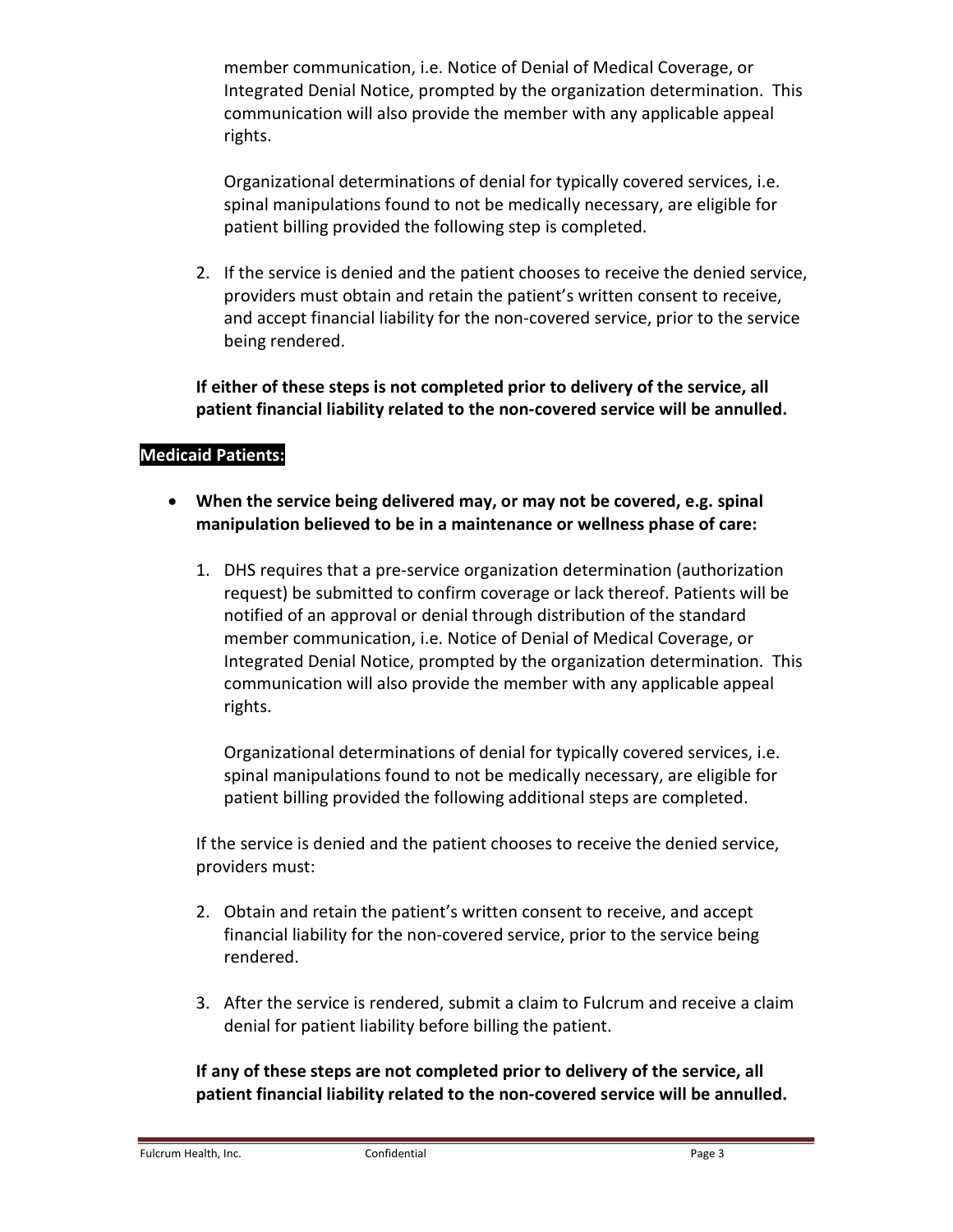member communication, i.e. Notice of Denial of Medical Coverage, or Integrated Denial Notice, prompted by the organization determination. This communication will also provide the member with any applicable appeal rights.

Organizational determinations of denial for typically covered services, i.e. spinal manipulations found to not be medically necessary, are eligible for patient billing provided the following step is completed.

2. If the service is denied and the patient chooses to receive the denied service, providers must obtain and retain the patient's written consent to receive, and accept financial liability for the non-covered service, prior to the service being rendered.

If either of these steps is not completed prior to delivery of the service, all patient financial liability related to the non-covered service will be annulled.

# Medicaid Patients:

- When the service being delivered may, or may not be covered, e.g. spinal manipulation believed to be in a maintenance or wellness phase of care:
	- 1. DHS requires that a pre-service organization determination (authorization request) be submitted to confirm coverage or lack thereof. Patients will be notified of an approval or denial through distribution of the standard member communication, i.e. Notice of Denial of Medical Coverage, or Integrated Denial Notice, prompted by the organization determination. This communication will also provide the member with any applicable appeal rights.

Organizational determinations of denial for typically covered services, i.e. spinal manipulations found to not be medically necessary, are eligible for patient billing provided the following additional steps are completed.

If the service is denied and the patient chooses to receive the denied service, providers must:

- 2. Obtain and retain the patient's written consent to receive, and accept financial liability for the non-covered service, prior to the service being rendered.
- 3. After the service is rendered, submit a claim to Fulcrum and receive a claim denial for patient liability before billing the patient.

If any of these steps are not completed prior to delivery of the service, all patient financial liability related to the non-covered service will be annulled.

Fulcrum Health, Inc. **Confidential Confidential** Page 3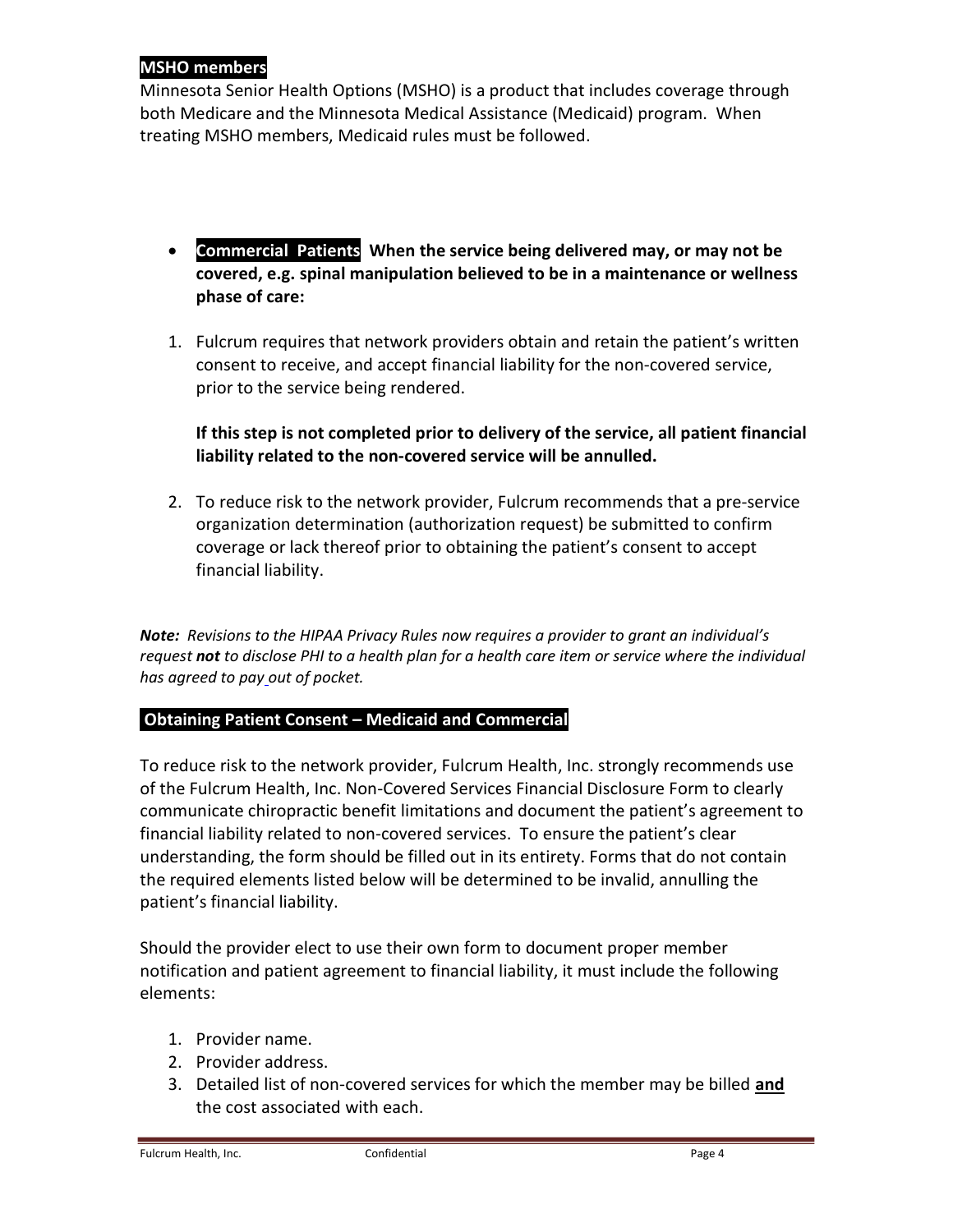# MSHO members

Minnesota Senior Health Options (MSHO) is a product that includes coverage through both Medicare and the Minnesota Medical Assistance (Medicaid) program. When treating MSHO members, Medicaid rules must be followed.

- Commercial Patients When the service being delivered may, or may not be covered, e.g. spinal manipulation believed to be in a maintenance or wellness phase of care:
- 1. Fulcrum requires that network providers obtain and retain the patient's written consent to receive, and accept financial liability for the non-covered service, prior to the service being rendered.

# If this step is not completed prior to delivery of the service, all patient financial liability related to the non-covered service will be annulled.

2. To reduce risk to the network provider, Fulcrum recommends that a pre-service organization determination (authorization request) be submitted to confirm coverage or lack thereof prior to obtaining the patient's consent to accept financial liability.

Note: Revisions to the HIPAA Privacy Rules now requires a provider to grant an individual's request not to disclose PHI to a health plan for a health care item or service where the individual has agreed to pay out of pocket.

# Obtaining Patient Consent – Medicaid and Commercial

To reduce risk to the network provider, Fulcrum Health, Inc. strongly recommends use of the Fulcrum Health, Inc. Non-Covered Services Financial Disclosure Form to clearly communicate chiropractic benefit limitations and document the patient's agreement to financial liability related to non-covered services. To ensure the patient's clear understanding, the form should be filled out in its entirety. Forms that do not contain the required elements listed below will be determined to be invalid, annulling the patient's financial liability.

Should the provider elect to use their own form to document proper member notification and patient agreement to financial liability, it must include the following elements:

- 1. Provider name.
- 2. Provider address.
- 3. Detailed list of non-covered services for which the member may be billed and the cost associated with each.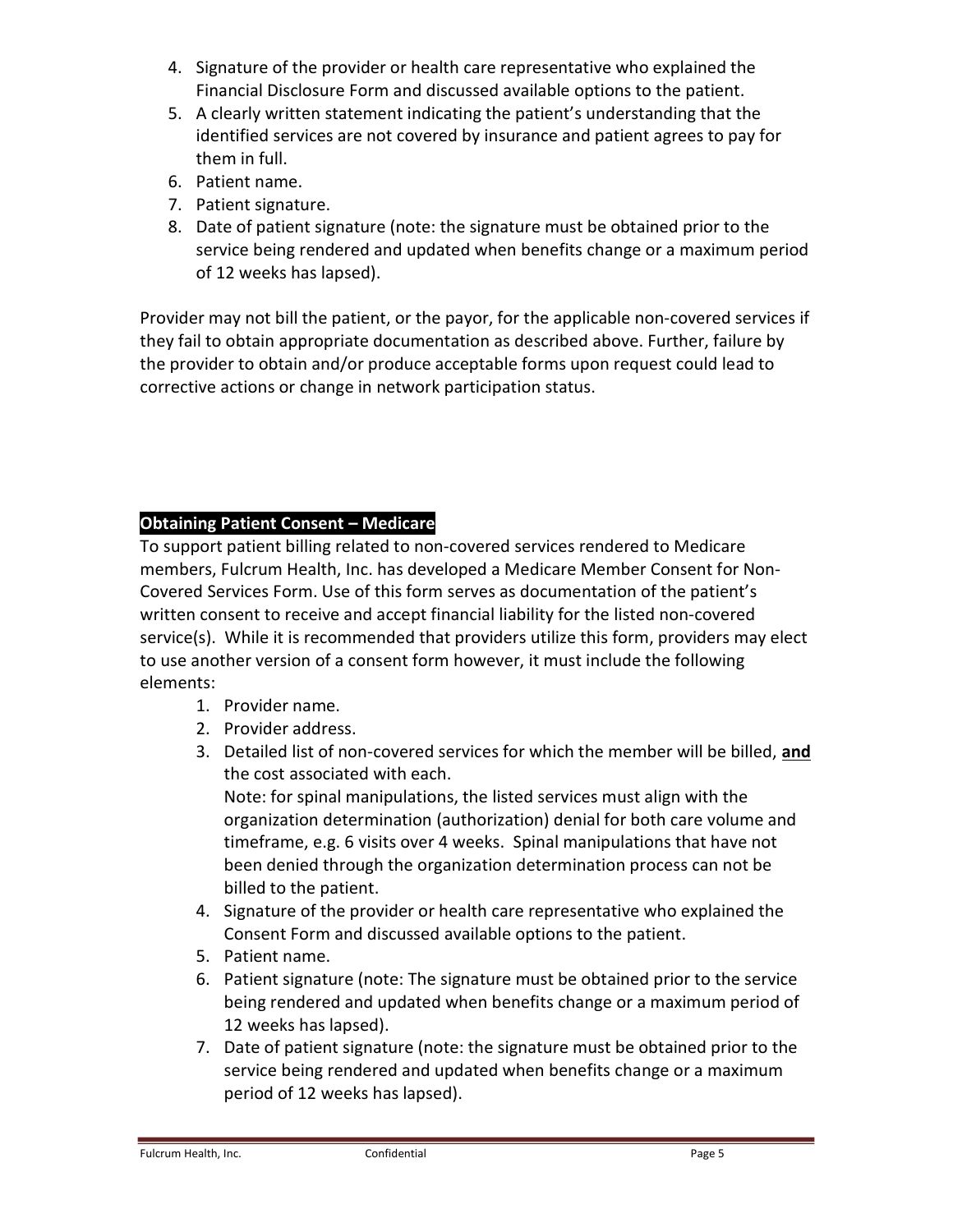- 4. Signature of the provider or health care representative who explained the Financial Disclosure Form and discussed available options to the patient.
- 5. A clearly written statement indicating the patient's understanding that the identified services are not covered by insurance and patient agrees to pay for them in full.
- 6. Patient name.
- 7. Patient signature.
- 8. Date of patient signature (note: the signature must be obtained prior to the service being rendered and updated when benefits change or a maximum period of 12 weeks has lapsed).

Provider may not bill the patient, or the payor, for the applicable non-covered services if they fail to obtain appropriate documentation as described above. Further, failure by the provider to obtain and/or produce acceptable forms upon request could lead to corrective actions or change in network participation status.

# Obtaining Patient Consent – Medicare

To support patient billing related to non-covered services rendered to Medicare members, Fulcrum Health, Inc. has developed a Medicare Member Consent for Non-Covered Services Form. Use of this form serves as documentation of the patient's written consent to receive and accept financial liability for the listed non-covered service(s). While it is recommended that providers utilize this form, providers may elect to use another version of a consent form however, it must include the following elements:

- 1. Provider name.
- 2. Provider address.
- 3. Detailed list of non-covered services for which the member will be billed, and the cost associated with each. Note: for spinal manipulations, the listed services must align with the

organization determination (authorization) denial for both care volume and timeframe, e.g. 6 visits over 4 weeks. Spinal manipulations that have not been denied through the organization determination process can not be billed to the patient.

- 4. Signature of the provider or health care representative who explained the Consent Form and discussed available options to the patient.
- 5. Patient name.
- 6. Patient signature (note: The signature must be obtained prior to the service being rendered and updated when benefits change or a maximum period of 12 weeks has lapsed).
- 7. Date of patient signature (note: the signature must be obtained prior to the service being rendered and updated when benefits change or a maximum period of 12 weeks has lapsed).